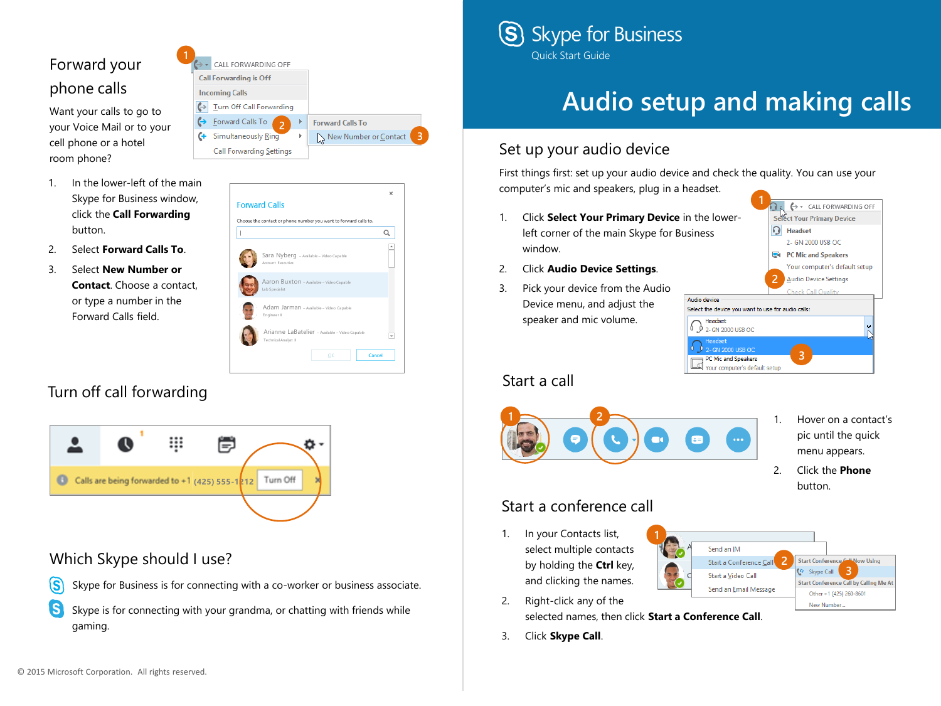

Want your calls to go to your Voice Mail or to your cell phone or a hotel room phone?

- 1. In the lower-left of the main Skype for Business window, click the **Call Forwarding**  button.
- 2. Select **Forward Calls To**.
- 3. Select **New Number or Contact**. Choose a contact, or type a number in the Forward Calls field.

| [⇒ – | CALL FORWARDING OFF             |   |                         |
|------|---------------------------------|---|-------------------------|
|      | <b>Call Forwarding is Off</b>   |   |                         |
|      | <b>Incoming Calls</b>           |   |                         |
|      | Turn Off Call Forwarding        |   |                         |
|      | <b>Eorward Calls To</b><br>2    | Þ | <b>Forward Calls To</b> |
|      | <b>Simultaneously Ring</b>      | Þ | New Number or Contact   |
|      | <b>Call Forwarding Settings</b> |   |                         |
|      |                                 |   |                         |

**3**

| Sara Nyberg - Available - Video Capable<br>Account Executive           |  |  |
|------------------------------------------------------------------------|--|--|
| Aaron Buxton - Available - Video Capable<br>Lab Specialist             |  |  |
| Adam Jarman - Available - Video Capable<br>Engineer II                 |  |  |
| Arianne LaBatelier - Available - Video Capable<br>Technical Analyst II |  |  |

## Turn off call forwarding



**1**

### Which Skype should I use?



S) Skype is for connecting with your grandma, or chatting with friends while gaming.



# **Audio setup and making calls**

## Set up your audio device

First things first: set up your audio device and check the quality. You can use your computer's mic and speakers, plug in a headset.

- 1. Click **Select Your Primary Device** in the lowerleft corner of the main Skype for Business window.
- 2. Click **Audio Device Settings**.
- 3. Pick your device from the Audio Device menu, and adjust the speaker and mic volume.

#### Start a call



- **1** ← CALL FORWARDING OFF **Select Your Primary Device**  $\Omega$  Headset 2- GN 2000 USB OC **E** PC Mic and Speakers Your computer's default setup **2 Audio Device Settings** Audio device Select the device you want to use for audio calls: Headset  $\begin{smallmatrix} 6 \end{smallmatrix}$  2 - GN 2000 USB OC GN 2000 USB OC PC Mic and Speakers Your computer's default setup
	- - 1. Hover on a contact's pic until the quick menu appears.
		- 2. Click the **Phone** button.

## Start a conference call

1. In your Contacts list, select multiple contacts by holding the **Ctrl** key, and clicking the names.



3. Click **Skype Call**.

2. Right-click any of the